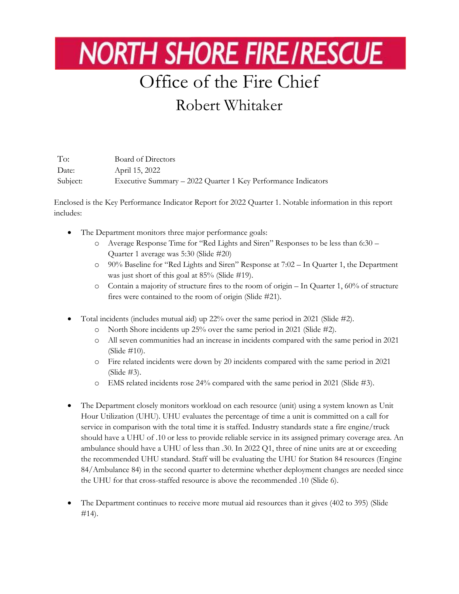## **NORTH SHORE FIRE/RESCUE**

## Office of the Fire Chief

## Robert Whitaker

To: Board of Directors Date: April 15, 2022 Subject: Executive Summary – 2022 Quarter 1 Key Performance Indicators

Enclosed is the Key Performance Indicator Report for 2022 Quarter 1. Notable information in this report includes:

- The Department monitors three major performance goals:
	- o Average Response Time for "Red Lights and Siren" Responses to be less than 6:30 Quarter 1 average was 5:30 (Slide #20)
	- o 90% Baseline for "Red Lights and Siren" Response at 7:02 In Quarter 1, the Department was just short of this goal at 85% (Slide #19).
	- o Contain a majority of structure fires to the room of origin In Quarter 1, 60% of structure fires were contained to the room of origin (Slide #21).
- Total incidents (includes mutual aid) up 22% over the same period in 2021 (Slide #2).
	- o North Shore incidents up 25% over the same period in 2021 (Slide #2).
	- o All seven communities had an increase in incidents compared with the same period in 2021 (Slide #10).
	- o Fire related incidents were down by 20 incidents compared with the same period in 2021 (Slide #3).
	- o EMS related incidents rose 24% compared with the same period in 2021 (Slide #3).
- The Department closely monitors workload on each resource (unit) using a system known as Unit Hour Utilization (UHU). UHU evaluates the percentage of time a unit is committed on a call for service in comparison with the total time it is staffed. Industry standards state a fire engine/truck should have a UHU of .10 or less to provide reliable service in its assigned primary coverage area. An ambulance should have a UHU of less than .30. In 2022 Q1, three of nine units are at or exceeding the recommended UHU standard. Staff will be evaluating the UHU for Station 84 resources (Engine 84/Ambulance 84) in the second quarter to determine whether deployment changes are needed since the UHU for that cross-staffed resource is above the recommended .10 (Slide 6).
- The Department continues to receive more mutual aid resources than it gives (402 to 395) (Slide #14).